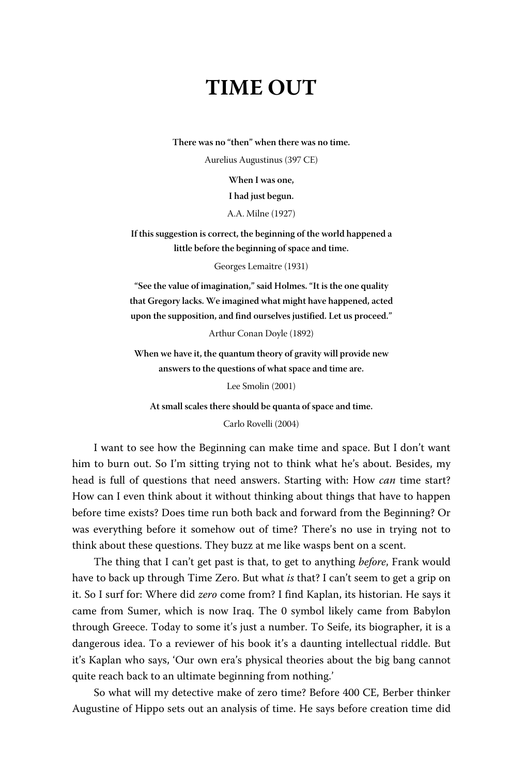## **TIME OUT**

**There was no "then" when there was no time.**

Aurelius Augustinus (397 CE)

**When I was one,**

**I had just begun.**

A.A. Milne (1927)

**If this suggestion is correct, the beginning of the world happened a little before the beginning of space and time.**

Georges Lemaître (1931)

**"See the value of imagination," said Holmes. "It is the one quality that Gregory lacks. We imagined what might have happened, acted upon the supposition, and find ourselves justified. Let us proceed."**

Arthur Conan Doyle (1892)

**When we have it, the quantum theory of gravity will provide new answers to the questions of what space and time are.**

Lee Smolin (2001)

**At small scales there should be quanta of space and time.**

Carlo Rovelli (2004)

I want to see how the Beginning can make time and space. But I don't want him to burn out. So I'm sitting trying not to think what he's about. Besides, my head is full of questions that need answers. Starting with: How *can* time start? How can I even think about it without thinking about things that have to happen before time exists? Does time run both back and forward from the Beginning? Or was everything before it somehow out of time? There's no use in trying not to think about these questions. They buzz at me like wasps bent on a scent.

The thing that I can't get past is that, to get to anything *before*, Frank would have to back up through Time Zero. But what *is* that? I can't seem to get a grip on it. So I surf for: Where did *zero* come from? I find Kaplan, its historian. He says it came from Sumer, which is now Iraq. The 0 symbol likely came from Babylon through Greece. Today to some it's just a number. To Seife, its biographer, it is a dangerous idea. To a reviewer of his book it's a daunting intellectual riddle. But it's Kaplan who says, 'Our own era's physical theories about the big bang cannot quite reach back to an ultimate beginning from nothing.'

So what will my detective make of zero time? Before 400 CE, Berber thinker Augustine of Hippo sets out an analysis of time. He says before creation time did